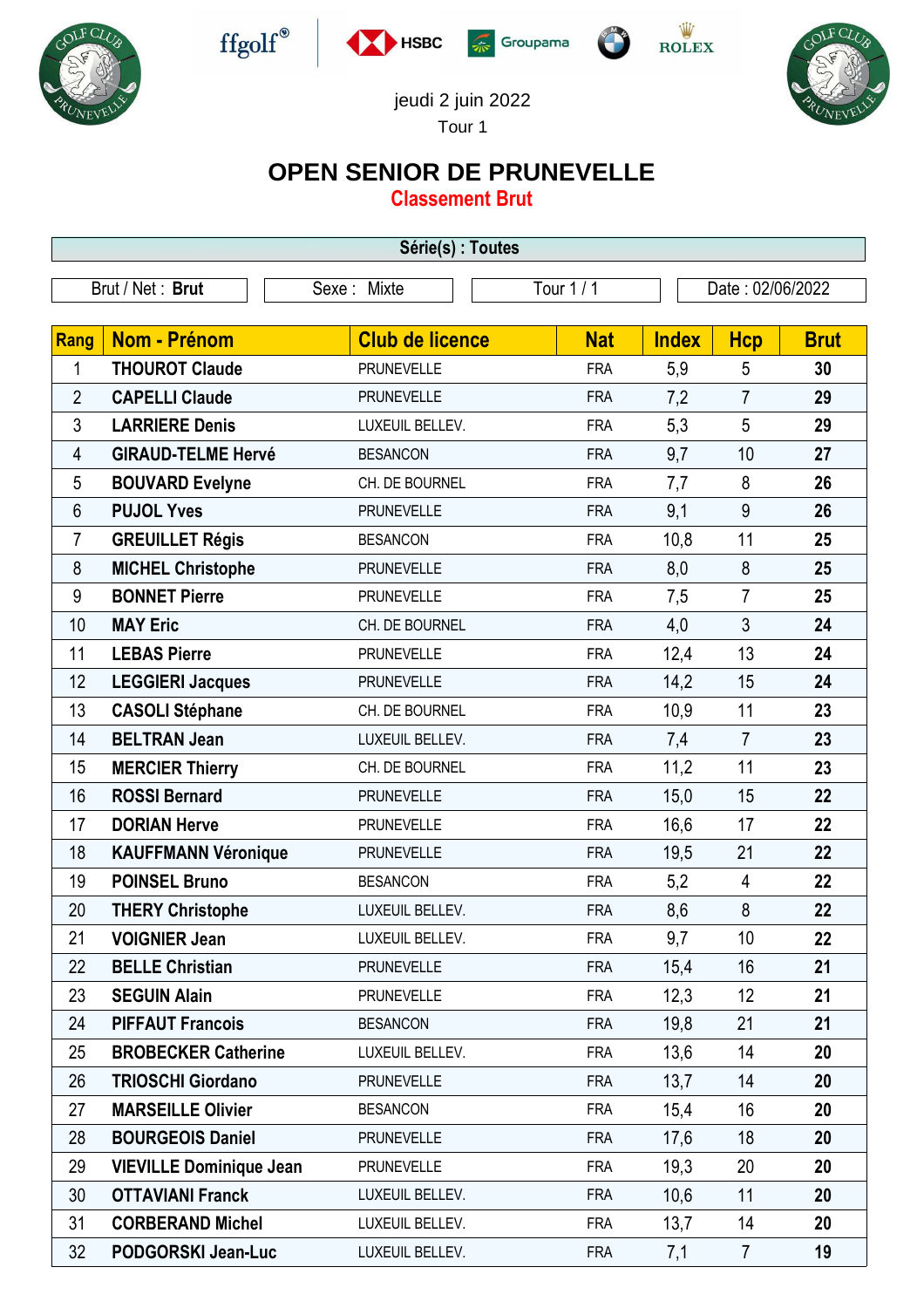











jeudi 2 juin 2022

Tour 1

## **OPEN SENIOR DE PRUNEVELLE**

**Classement Brut**

| Série(s) : Toutes |                                |                        |            |              |                  |             |  |
|-------------------|--------------------------------|------------------------|------------|--------------|------------------|-------------|--|
|                   | Brut / Net: Brut               | Sexe: Mixte            | Tour 1/1   |              | Date: 02/06/2022 |             |  |
|                   |                                |                        |            |              |                  |             |  |
| <b>Rang</b>       | Nom - Prénom                   | <b>Club de licence</b> | <b>Nat</b> | <b>Index</b> | <b>Hcp</b>       | <b>Brut</b> |  |
| 1                 | <b>THOUROT Claude</b>          | <b>PRUNEVELLE</b>      | <b>FRA</b> | 5,9          | 5                | 30          |  |
| $\overline{2}$    | <b>CAPELLI Claude</b>          | <b>PRUNEVELLE</b>      | <b>FRA</b> | 7,2          | $\overline{7}$   | 29          |  |
| 3                 | <b>LARRIERE Denis</b>          | LUXEUIL BELLEV.        | <b>FRA</b> | 5,3          | 5                | 29          |  |
| 4                 | <b>GIRAUD-TELME Hervé</b>      | <b>BESANCON</b>        | <b>FRA</b> | 9,7          | 10               | 27          |  |
| 5                 | <b>BOUVARD Evelyne</b>         | CH. DE BOURNEL         | <b>FRA</b> | 7,7          | 8                | 26          |  |
| 6                 | <b>PUJOL Yves</b>              | <b>PRUNEVELLE</b>      | <b>FRA</b> | 9,1          | 9                | 26          |  |
| 7                 | <b>GREUILLET Régis</b>         | <b>BESANCON</b>        | <b>FRA</b> | 10,8         | 11               | 25          |  |
| 8                 | <b>MICHEL Christophe</b>       | <b>PRUNEVELLE</b>      | <b>FRA</b> | 8,0          | 8                | 25          |  |
| 9                 | <b>BONNET Pierre</b>           | <b>PRUNEVELLE</b>      | <b>FRA</b> | 7,5          | $\overline{7}$   | 25          |  |
| 10                | <b>MAY Eric</b>                | CH. DE BOURNEL         | <b>FRA</b> | 4,0          | $\mathfrak{Z}$   | 24          |  |
| 11                | <b>LEBAS Pierre</b>            | <b>PRUNEVELLE</b>      | <b>FRA</b> | 12,4         | 13               | 24          |  |
| 12                | <b>LEGGIERI Jacques</b>        | <b>PRUNEVELLE</b>      | <b>FRA</b> | 14,2         | 15               | 24          |  |
| 13                | <b>CASOLI Stéphane</b>         | CH. DE BOURNEL         | <b>FRA</b> | 10,9         | 11               | 23          |  |
| 14                | <b>BELTRAN Jean</b>            | LUXEUIL BELLEV.        | <b>FRA</b> | 7,4          | $\overline{7}$   | 23          |  |
| 15                | <b>MERCIER Thierry</b>         | CH. DE BOURNEL         | <b>FRA</b> | 11,2         | 11               | 23          |  |
| 16                | <b>ROSSI Bernard</b>           | <b>PRUNEVELLE</b>      | <b>FRA</b> | 15,0         | 15               | 22          |  |
| 17                | <b>DORIAN Herve</b>            | <b>PRUNEVELLE</b>      | <b>FRA</b> | 16,6         | 17               | 22          |  |
| 18                | <b>KAUFFMANN Véronique</b>     | <b>PRUNEVELLE</b>      | <b>FRA</b> | 19,5         | 21               | 22          |  |
| 19                | <b>POINSEL Bruno</b>           | <b>BESANCON</b>        | <b>FRA</b> | 5,2          | $\overline{4}$   | 22          |  |
| 20                | <b>THERY Christophe</b>        | LUXEUIL BELLEV.        | <b>FRA</b> | 8,6          | 8                | 22          |  |
| 21                | <b>VOIGNIER Jean</b>           | LUXEUIL BELLEV.        | <b>FRA</b> | 9,7          | 10               | 22          |  |
| 22                | <b>BELLE Christian</b>         | <b>PRUNEVELLE</b>      | <b>FRA</b> | 15,4         | 16               | 21          |  |
| 23                | <b>SEGUIN Alain</b>            | <b>PRUNEVELLE</b>      | <b>FRA</b> | 12,3         | 12               | 21          |  |
| 24                | <b>PIFFAUT Francois</b>        | <b>BESANCON</b>        | <b>FRA</b> | 19,8         | 21               | 21          |  |
| 25                | <b>BROBECKER Catherine</b>     | LUXEUIL BELLEV.        | <b>FRA</b> | 13,6         | 14               | 20          |  |
| 26                | <b>TRIOSCHI Giordano</b>       | <b>PRUNEVELLE</b>      | <b>FRA</b> | 13,7         | 14               | 20          |  |
| 27                | <b>MARSEILLE Olivier</b>       | <b>BESANCON</b>        | <b>FRA</b> | 15,4         | 16               | 20          |  |
| 28                | <b>BOURGEOIS Daniel</b>        | <b>PRUNEVELLE</b>      | <b>FRA</b> | 17,6         | 18               | 20          |  |
| 29                | <b>VIEVILLE Dominique Jean</b> | <b>PRUNEVELLE</b>      | <b>FRA</b> | 19,3         | 20               | 20          |  |
| 30                | <b>OTTAVIANI Franck</b>        | LUXEUIL BELLEV.        | <b>FRA</b> | 10,6         | 11               | 20          |  |
| 31                | <b>CORBERAND Michel</b>        | LUXEUIL BELLEV.        | <b>FRA</b> | 13,7         | 14               | 20          |  |
| 32                | PODGORSKI Jean-Luc             | LUXEUIL BELLEV.        | <b>FRA</b> | 7,1          | $\overline{7}$   | 19          |  |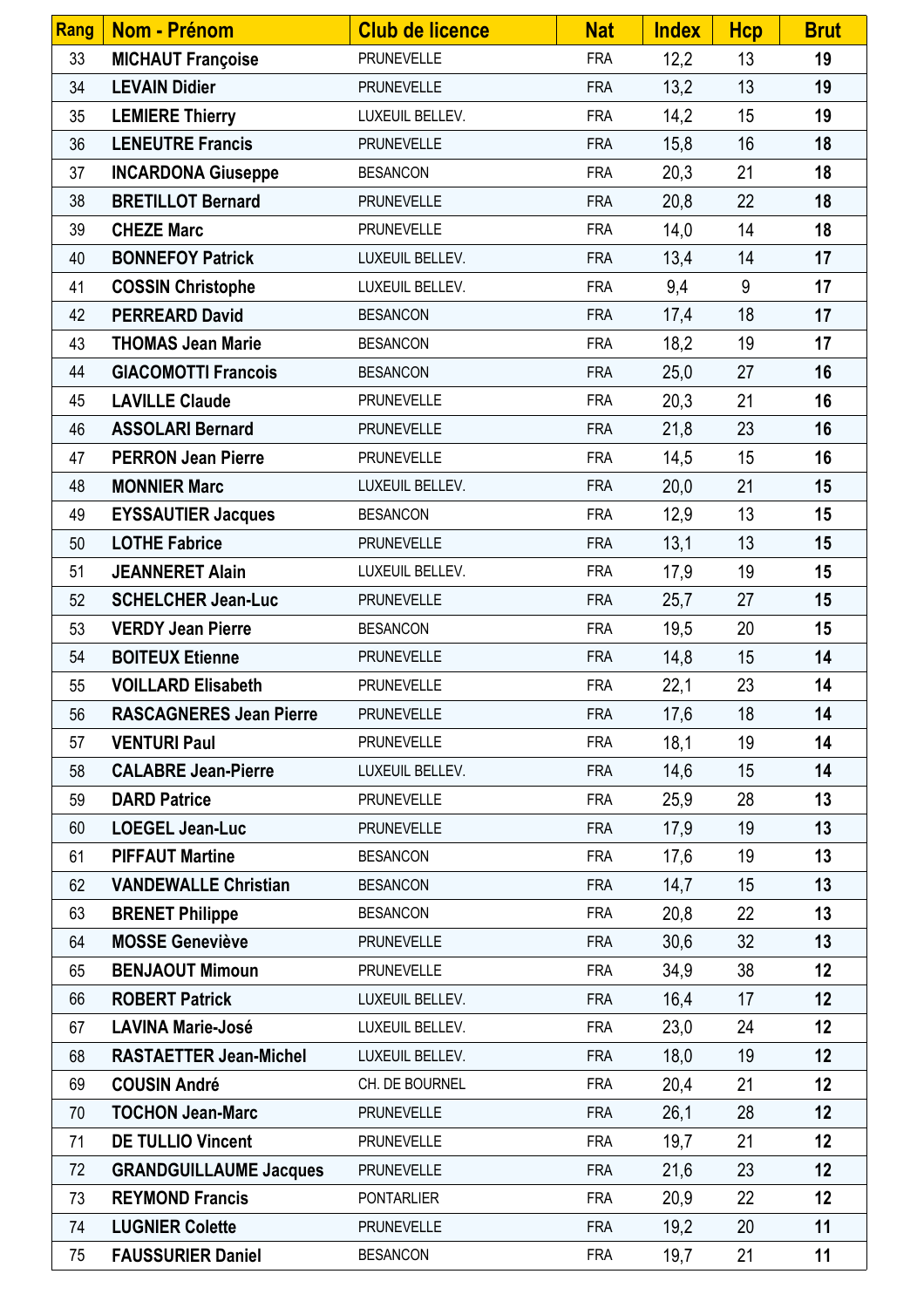| <b>Rang</b> | Nom - Prénom                   | <b>Club de licence</b> | <b>Nat</b> | <b>Index</b> | <b>Hcp</b> | <b>Brut</b> |
|-------------|--------------------------------|------------------------|------------|--------------|------------|-------------|
| 33          | <b>MICHAUT Françoise</b>       | <b>PRUNEVELLE</b>      | <b>FRA</b> | 12,2         | 13         | 19          |
| 34          | <b>LEVAIN Didier</b>           | <b>PRUNEVELLE</b>      | <b>FRA</b> | 13,2         | 13         | 19          |
| 35          | <b>LEMIERE Thierry</b>         | LUXEUIL BELLEV.        | <b>FRA</b> | 14,2         | 15         | 19          |
| 36          | <b>LENEUTRE Francis</b>        | <b>PRUNEVELLE</b>      | <b>FRA</b> | 15,8         | 16         | 18          |
| 37          | <b>INCARDONA Giuseppe</b>      | <b>BESANCON</b>        | <b>FRA</b> | 20,3         | 21         | 18          |
| 38          | <b>BRETILLOT Bernard</b>       | <b>PRUNEVELLE</b>      | <b>FRA</b> | 20,8         | 22         | 18          |
| 39          | <b>CHEZE Marc</b>              | <b>PRUNEVELLE</b>      | <b>FRA</b> | 14,0         | 14         | 18          |
| 40          | <b>BONNEFOY Patrick</b>        | LUXEUIL BELLEV.        | <b>FRA</b> | 13,4         | 14         | 17          |
| 41          | <b>COSSIN Christophe</b>       | LUXEUIL BELLEV.        | <b>FRA</b> | 9,4          | 9          | 17          |
| 42          | <b>PERREARD David</b>          | <b>BESANCON</b>        | <b>FRA</b> | 17,4         | 18         | 17          |
| 43          | <b>THOMAS Jean Marie</b>       | <b>BESANCON</b>        | <b>FRA</b> | 18,2         | 19         | 17          |
| 44          | <b>GIACOMOTTI Francois</b>     | <b>BESANCON</b>        | <b>FRA</b> | 25,0         | 27         | 16          |
| 45          | <b>LAVILLE Claude</b>          | <b>PRUNEVELLE</b>      | <b>FRA</b> | 20,3         | 21         | 16          |
| 46          | <b>ASSOLARI Bernard</b>        | <b>PRUNEVELLE</b>      | <b>FRA</b> | 21,8         | 23         | 16          |
| 47          | <b>PERRON Jean Pierre</b>      | <b>PRUNEVELLE</b>      | <b>FRA</b> | 14,5         | 15         | 16          |
| 48          | <b>MONNIER Marc</b>            | LUXEUIL BELLEV.        | <b>FRA</b> | 20,0         | 21         | 15          |
| 49          | <b>EYSSAUTIER Jacques</b>      | <b>BESANCON</b>        | <b>FRA</b> | 12,9         | 13         | 15          |
| 50          | <b>LOTHE Fabrice</b>           | <b>PRUNEVELLE</b>      | <b>FRA</b> | 13,1         | 13         | 15          |
| 51          | <b>JEANNERET Alain</b>         | LUXEUIL BELLEV.        | <b>FRA</b> | 17,9         | 19         | 15          |
| 52          | <b>SCHELCHER Jean-Luc</b>      | <b>PRUNEVELLE</b>      | <b>FRA</b> | 25,7         | 27         | 15          |
| 53          | <b>VERDY Jean Pierre</b>       | <b>BESANCON</b>        | <b>FRA</b> | 19,5         | 20         | 15          |
| 54          | <b>BOITEUX Etienne</b>         | <b>PRUNEVELLE</b>      | <b>FRA</b> | 14,8         | 15         | 14          |
| 55          | <b>VOILLARD Elisabeth</b>      | <b>PRUNEVELLE</b>      | <b>FRA</b> | 22,1         | 23         | 14          |
| 56          | <b>RASCAGNERES Jean Pierre</b> | <b>PRUNEVELLE</b>      | <b>FRA</b> | 17,6         | 18         | 14          |
| 57          | <b>VENTURI Paul</b>            | <b>PRUNEVELLE</b>      | <b>FRA</b> | 18,1         | 19         | 14          |
| 58          | <b>CALABRE Jean-Pierre</b>     | LUXEUIL BELLEV.        | <b>FRA</b> | 14,6         | 15         | 14          |
| 59          | <b>DARD Patrice</b>            | <b>PRUNEVELLE</b>      | <b>FRA</b> | 25,9         | 28         | 13          |
| 60          | <b>LOEGEL Jean-Luc</b>         | <b>PRUNEVELLE</b>      | <b>FRA</b> | 17,9         | 19         | 13          |
| 61          | <b>PIFFAUT Martine</b>         | <b>BESANCON</b>        | <b>FRA</b> | 17,6         | 19         | 13          |
| 62          | <b>VANDEWALLE Christian</b>    | <b>BESANCON</b>        | <b>FRA</b> | 14,7         | 15         | 13          |
| 63          | <b>BRENET Philippe</b>         | <b>BESANCON</b>        | <b>FRA</b> | 20,8         | 22         | 13          |
| 64          | <b>MOSSE Geneviève</b>         | <b>PRUNEVELLE</b>      | <b>FRA</b> | 30,6         | 32         | 13          |
| 65          | <b>BENJAOUT Mimoun</b>         | <b>PRUNEVELLE</b>      | <b>FRA</b> | 34,9         | 38         | 12          |
| 66          | <b>ROBERT Patrick</b>          | LUXEUIL BELLEV.        | <b>FRA</b> | 16,4         | 17         | 12          |
| 67          | <b>LAVINA Marie-José</b>       | LUXEUIL BELLEV.        | <b>FRA</b> | 23,0         | 24         | 12          |
| 68          | <b>RASTAETTER Jean-Michel</b>  | LUXEUIL BELLEV.        | <b>FRA</b> | 18,0         | 19         | 12          |
| 69          | <b>COUSIN André</b>            | CH. DE BOURNEL         | <b>FRA</b> | 20,4         | 21         | 12          |
| 70          | <b>TOCHON Jean-Marc</b>        | <b>PRUNEVELLE</b>      | <b>FRA</b> | 26,1         | 28         | 12          |
| 71          | <b>DE TULLIO Vincent</b>       | <b>PRUNEVELLE</b>      | <b>FRA</b> | 19,7         | 21         | 12          |
| 72          | <b>GRANDGUILLAUME Jacques</b>  | <b>PRUNEVELLE</b>      | <b>FRA</b> | 21,6         | 23         | 12          |
| 73          | <b>REYMOND Francis</b>         | <b>PONTARLIER</b>      | <b>FRA</b> | 20,9         | 22         | 12          |
| 74          | <b>LUGNIER Colette</b>         | <b>PRUNEVELLE</b>      | <b>FRA</b> | 19,2         | 20         | 11          |
| 75          | <b>FAUSSURIER Daniel</b>       | <b>BESANCON</b>        | <b>FRA</b> | 19,7         | 21         | 11          |